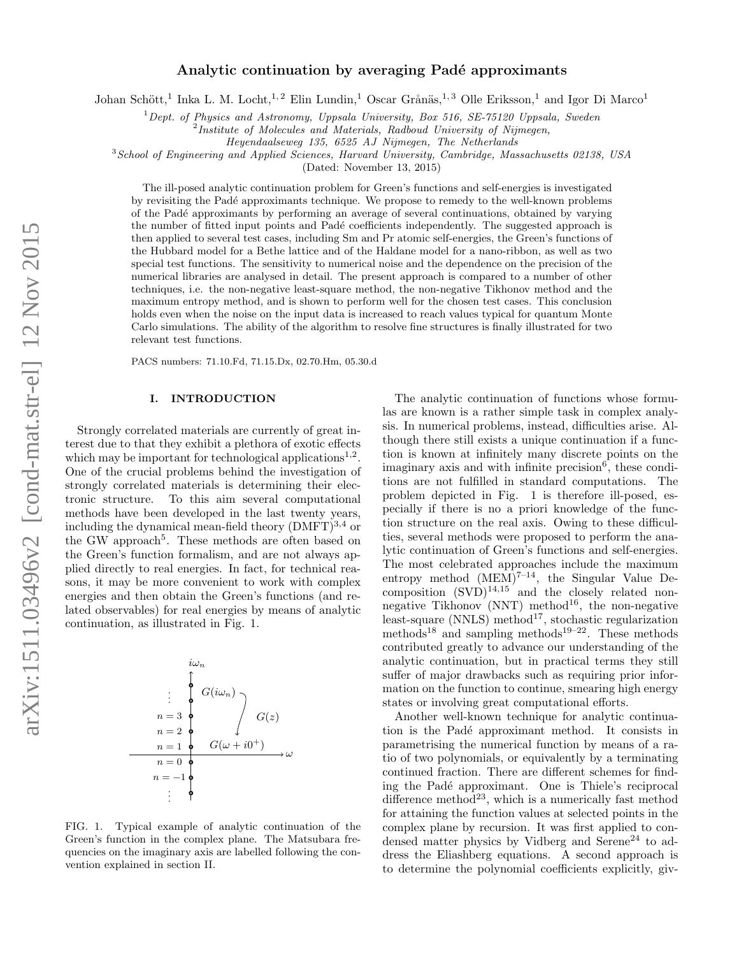# Analytic continuation by averaging Padé approximants

Johan Schött,<sup>1</sup> Inka L. M. Locht,<sup>1,2</sup> Elin Lundin,<sup>1</sup> Oscar Grånäs,<sup>1,3</sup> Olle Eriksson,<sup>1</sup> and Igor Di Marco<sup>1</sup>

 $1$  Dept. of Physics and Astronomy, Uppsala University, Box 516, SE-75120 Uppsala, Sweden

<sup>2</sup>Institute of Molecules and Materials, Radboud University of Nijmegen,

Heyendaalseweg 135, 6525 AJ Nijmegen, The Netherlands

 $3$ School of Engineering and Applied Sciences, Harvard University, Cambridge, Massachusetts 02138, USA

(Dated: November 13, 2015)

The ill-posed analytic continuation problem for Green's functions and self-energies is investigated by revisiting the Pad´e approximants technique. We propose to remedy to the well-known problems of the Pad´e approximants by performing an average of several continuations, obtained by varying the number of fitted input points and Padé coefficients independently. The suggested approach is then applied to several test cases, including Sm and Pr atomic self-energies, the Green's functions of the Hubbard model for a Bethe lattice and of the Haldane model for a nano-ribbon, as well as two special test functions. The sensitivity to numerical noise and the dependence on the precision of the numerical libraries are analysed in detail. The present approach is compared to a number of other techniques, i.e. the non-negative least-square method, the non-negative Tikhonov method and the maximum entropy method, and is shown to perform well for the chosen test cases. This conclusion holds even when the noise on the input data is increased to reach values typical for quantum Monte Carlo simulations. The ability of the algorithm to resolve fine structures is finally illustrated for two relevant test functions.

PACS numbers: 71.10.Fd, 71.15.Dx, 02.70.Hm, 05.30.d

# I. INTRODUCTION

Strongly correlated materials are currently of great interest due to that they exhibit a plethora of exotic effects which may be important for technological applications<sup>1,2</sup>. One of the crucial problems behind the investigation of strongly correlated materials is determining their electronic structure. To this aim several computational methods have been developed in the last twenty years, including the dynamical mean-field theory  $(DMFT)^{3,4}$  or the GW approach<sup>5</sup>. These methods are often based on the Green's function formalism, and are not always applied directly to real energies. In fact, for technical reasons, it may be more convenient to work with complex energies and then obtain the Green's functions (and related observables) for real energies by means of analytic continuation, as illustrated in Fig. 1.



FIG. 1. Typical example of analytic continuation of the Green's function in the complex plane. The Matsubara frequencies on the imaginary axis are labelled following the convention explained in section II.

The analytic continuation of functions whose formulas are known is a rather simple task in complex analysis. In numerical problems, instead, difficulties arise. Although there still exists a unique continuation if a function is known at infinitely many discrete points on the imaginary axis and with infinite precision $<sup>6</sup>$ , these condi-</sup> tions are not fulfilled in standard computations. The problem depicted in Fig. 1 is therefore ill-posed, especially if there is no a priori knowledge of the function structure on the real axis. Owing to these difficulties, several methods were proposed to perform the analytic continuation of Green's functions and self-energies. The most celebrated approaches include the maximum entropy method  $(MEM)^{7-14}$ , the Singular Value Decomposition  $(SVD)^{14,15}$  and the closely related nonnegative Tikhonov (NNT) method<sup>16</sup>, the non-negative least-square (NNLS) method<sup>17</sup>, stochastic regularization methods<sup>18</sup> and sampling methods<sup>19–22</sup>. These methods contributed greatly to advance our understanding of the analytic continuation, but in practical terms they still suffer of major drawbacks such as requiring prior information on the function to continue, smearing high energy states or involving great computational efforts.

Another well-known technique for analytic continuation is the Padé approximant method. It consists in parametrising the numerical function by means of a ratio of two polynomials, or equivalently by a terminating continued fraction. There are different schemes for finding the Padé approximant. One is Thiele's reciprocal difference method<sup>23</sup>, which is a numerically fast method for attaining the function values at selected points in the complex plane by recursion. It was first applied to condensed matter physics by Vidberg and Serene<sup>24</sup> to address the Eliashberg equations. A second approach is to determine the polynomial coefficients explicitly, giv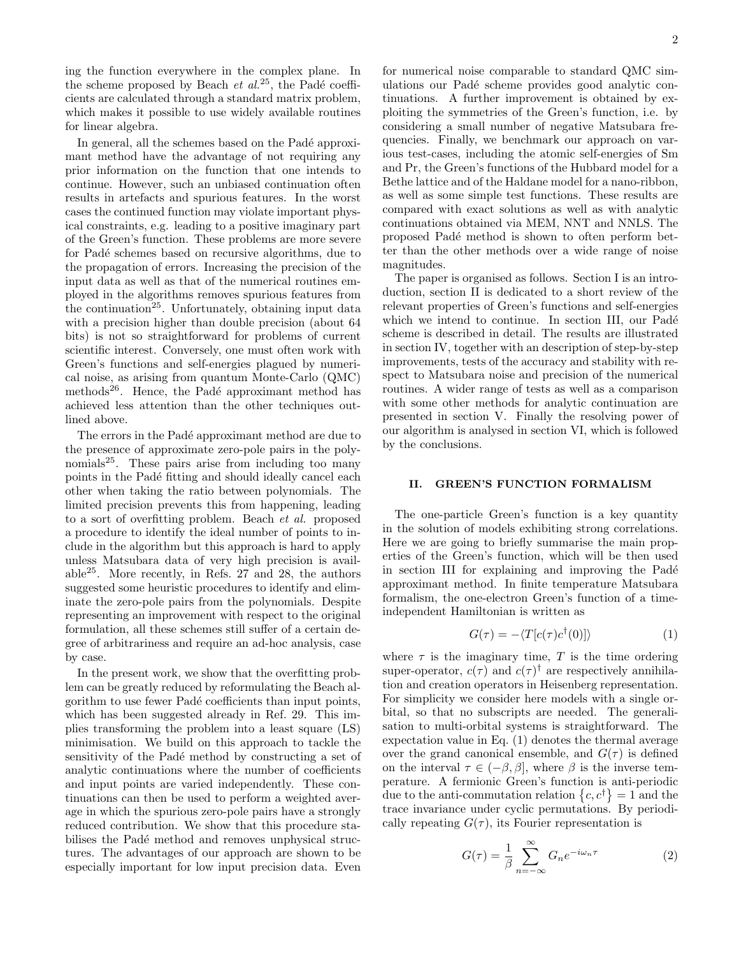ing the function everywhere in the complex plane. In the scheme proposed by Beach *et al.*<sup>25</sup>, the Padé coefficients are calculated through a standard matrix problem, which makes it possible to use widely available routines for linear algebra.

In general, all the schemes based on the Padé approximant method have the advantage of not requiring any prior information on the function that one intends to continue. However, such an unbiased continuation often results in artefacts and spurious features. In the worst cases the continued function may violate important physical constraints, e.g. leading to a positive imaginary part of the Green's function. These problems are more severe for Padé schemes based on recursive algorithms, due to the propagation of errors. Increasing the precision of the input data as well as that of the numerical routines employed in the algorithms removes spurious features from the continuation<sup>25</sup>. Unfortunately, obtaining input data with a precision higher than double precision (about 64 bits) is not so straightforward for problems of current scientific interest. Conversely, one must often work with Green's functions and self-energies plagued by numerical noise, as arising from quantum Monte-Carlo (QMC) methods<sup>26</sup>. Hence, the Padé approximant method has achieved less attention than the other techniques outlined above.

The errors in the Padé approximant method are due to the presence of approximate zero-pole pairs in the polynomials<sup>25</sup>. These pairs arise from including too many points in the Padé fitting and should ideally cancel each other when taking the ratio between polynomials. The limited precision prevents this from happening, leading to a sort of overfitting problem. Beach et al. proposed a procedure to identify the ideal number of points to include in the algorithm but this approach is hard to apply unless Matsubara data of very high precision is available $^{25}$ . More recently, in Refs. 27 and 28, the authors suggested some heuristic procedures to identify and eliminate the zero-pole pairs from the polynomials. Despite representing an improvement with respect to the original formulation, all these schemes still suffer of a certain degree of arbitrariness and require an ad-hoc analysis, case by case.

In the present work, we show that the overfitting problem can be greatly reduced by reformulating the Beach algorithm to use fewer Padé coefficients than input points, which has been suggested already in Ref. 29. This implies transforming the problem into a least square (LS) minimisation. We build on this approach to tackle the sensitivity of the Padé method by constructing a set of analytic continuations where the number of coefficients and input points are varied independently. These continuations can then be used to perform a weighted average in which the spurious zero-pole pairs have a strongly reduced contribution. We show that this procedure stabilises the Padé method and removes unphysical structures. The advantages of our approach are shown to be especially important for low input precision data. Even

for numerical noise comparable to standard QMC simulations our Padé scheme provides good analytic continuations. A further improvement is obtained by exploiting the symmetries of the Green's function, i.e. by considering a small number of negative Matsubara frequencies. Finally, we benchmark our approach on various test-cases, including the atomic self-energies of Sm and Pr, the Green's functions of the Hubbard model for a Bethe lattice and of the Haldane model for a nano-ribbon, as well as some simple test functions. These results are compared with exact solutions as well as with analytic continuations obtained via MEM, NNT and NNLS. The proposed Padé method is shown to often perform better than the other methods over a wide range of noise magnitudes.

The paper is organised as follows. Section I is an introduction, section II is dedicated to a short review of the relevant properties of Green's functions and self-energies which we intend to continue. In section III, our Padé scheme is described in detail. The results are illustrated in section IV, together with an description of step-by-step improvements, tests of the accuracy and stability with respect to Matsubara noise and precision of the numerical routines. A wider range of tests as well as a comparison with some other methods for analytic continuation are presented in section V. Finally the resolving power of our algorithm is analysed in section VI, which is followed by the conclusions.

## II. GREEN'S FUNCTION FORMALISM

The one-particle Green's function is a key quantity in the solution of models exhibiting strong correlations. Here we are going to briefly summarise the main properties of the Green's function, which will be then used in section III for explaining and improving the Padé approximant method. In finite temperature Matsubara formalism, the one-electron Green's function of a timeindependent Hamiltonian is written as

$$
G(\tau) = -\langle T[c(\tau)c^{\dagger}(0)]\rangle \tag{1}
$$

where  $\tau$  is the imaginary time, T is the time ordering super-operator,  $c(\tau)$  and  $c(\tau)$ <sup>†</sup> are respectively annihilation and creation operators in Heisenberg representation. For simplicity we consider here models with a single orbital, so that no subscripts are needed. The generalisation to multi-orbital systems is straightforward. The expectation value in Eq. (1) denotes the thermal average over the grand canonical ensemble, and  $G(\tau)$  is defined on the interval  $\tau \in (-\beta, \beta]$ , where  $\beta$  is the inverse temperature. A fermionic Green's function is anti-periodic due to the anti-commutation relation  $\{c, c^{\dagger}\} = 1$  and the trace invariance under cyclic permutations. By periodically repeating  $G(\tau)$ , its Fourier representation is

$$
G(\tau) = \frac{1}{\beta} \sum_{n=-\infty}^{\infty} G_n e^{-i\omega_n \tau}
$$
 (2)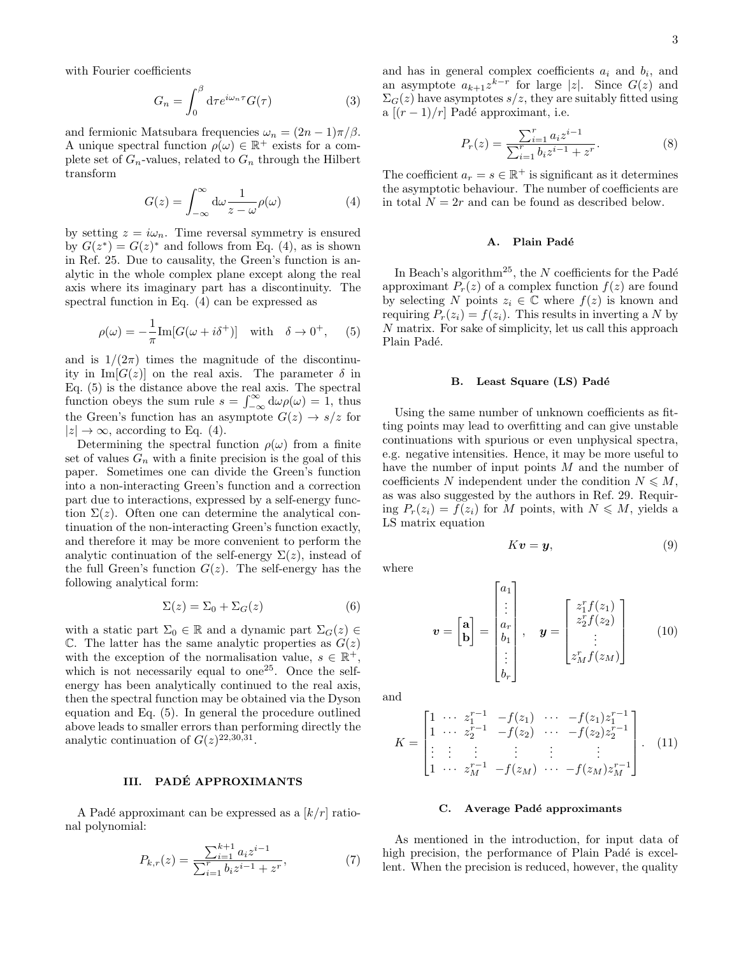with Fourier coefficients

$$
G_n = \int_0^\beta \mathrm{d}\tau e^{i\omega_n \tau} G(\tau) \tag{3}
$$

and fermionic Matsubara frequencies  $\omega_n = (2n-1)\pi/\beta$ . A unique spectral function  $\rho(\omega) \in \mathbb{R}^+$  exists for a complete set of  $G_n$ -values, related to  $G_n$  through the Hilbert transform

$$
G(z) = \int_{-\infty}^{\infty} d\omega \frac{1}{z - \omega} \rho(\omega)
$$
 (4)

by setting  $z = i\omega_n$ . Time reversal symmetry is ensured by  $G(z^*) = G(z)^*$  and follows from Eq. (4), as is shown in Ref. 25. Due to causality, the Green's function is analytic in the whole complex plane except along the real axis where its imaginary part has a discontinuity. The spectral function in Eq. (4) can be expressed as

$$
\rho(\omega) = -\frac{1}{\pi} \text{Im} [G(\omega + i\delta^+)] \quad \text{with} \quad \delta \to 0^+, \quad (5)
$$

and is  $1/(2\pi)$  times the magnitude of the discontinuity in Im[ $G(z)$ ] on the real axis. The parameter  $\delta$  in Eq. (5) is the distance above the real axis. The spectral function obeys the sum rule  $s = \int_{-\infty}^{\infty} d\omega \rho(\omega) = 1$ , thus the Green's function has an asymptote  $G(z) \rightarrow s/z$  for  $|z| \to \infty$ , according to Eq. (4).

Determining the spectral function  $\rho(\omega)$  from a finite set of values  $G_n$  with a finite precision is the goal of this paper. Sometimes one can divide the Green's function into a non-interacting Green's function and a correction part due to interactions, expressed by a self-energy function  $\Sigma(z)$ . Often one can determine the analytical continuation of the non-interacting Green's function exactly, and therefore it may be more convenient to perform the analytic continuation of the self-energy  $\Sigma(z)$ , instead of the full Green's function  $G(z)$ . The self-energy has the following analytical form:

$$
\Sigma(z) = \Sigma_0 + \Sigma_G(z) \tag{6}
$$

with a static part  $\Sigma_0 \in \mathbb{R}$  and a dynamic part  $\Sigma_G(z) \in$ C. The latter has the same analytic properties as  $G(z)$ with the exception of the normalisation value,  $s \in \mathbb{R}^+$ , which is not necessarily equal to one<sup>25</sup>. Once the selfenergy has been analytically continued to the real axis, then the spectral function may be obtained via the Dyson equation and Eq. (5). In general the procedure outlined above leads to smaller errors than performing directly the analytic continuation of  $G(z)^{22,30,31}$ .

# III. PADE APPROXIMANTS ´

A Padé approximant can be expressed as a  $\lfloor k/r \rfloor$  rational polynomial:

$$
P_{k,r}(z) = \frac{\sum_{i=1}^{k+1} a_i z^{i-1}}{\sum_{i=1}^r b_i z^{i-1} + z^r},\tag{7}
$$

and has in general complex coefficients  $a_i$  and  $b_i$ , and an asymptote  $a_{k+1}z^{k-r}$  for large |z|. Since  $G(z)$  and  $\Sigma_G(z)$  have asymptotes  $s/z$ , they are suitably fitted using a  $[(r-1)/r]$  Padé approximant, i.e.

$$
P_r(z) = \frac{\sum_{i=1}^r a_i z^{i-1}}{\sum_{i=1}^r b_i z^{i-1} + z^r}.
$$
 (8)

The coefficient  $a_r = s \in \mathbb{R}^+$  is significant as it determines the asymptotic behaviour. The number of coefficients are in total  $N = 2r$  and can be found as described below.

#### A. Plain Padé

In Beach's algorithm<sup>25</sup>, the  $N$  coefficients for the Padé approximant  $P_r(z)$  of a complex function  $f(z)$  are found by selecting N points  $z_i \in \mathbb{C}$  where  $f(z)$  is known and requiring  $P_r(z_i) = f(z_i)$ . This results in inverting a N by N matrix. For sake of simplicity, let us call this approach Plain Padé.

### B. Least Square (LS) Padé

Using the same number of unknown coefficients as fitting points may lead to overfitting and can give unstable continuations with spurious or even unphysical spectra, e.g. negative intensities. Hence, it may be more useful to have the number of input points M and the number of coefficients N independent under the condition  $N \leq M$ , as was also suggested by the authors in Ref. 29. Requiring  $P_r(z_i) = f(z_i)$  for M points, with  $N \leq M$ , yields a LS matrix equation

$$
Kv = y,\t\t(9)
$$

where

$$
\mathbf{v} = \begin{bmatrix} \mathbf{a} \\ \mathbf{b} \end{bmatrix} = \begin{bmatrix} a_1 \\ \vdots \\ a_r \\ b_1 \\ \vdots \\ b_r \end{bmatrix}, \quad \mathbf{y} = \begin{bmatrix} z_1^r f(z_1) \\ z_2^r f(z_2) \\ \vdots \\ z_M^r f(z_M) \end{bmatrix}
$$
(10)

and

$$
K = \begin{bmatrix} 1 & \cdots & z_1^{r-1} & -f(z_1) & \cdots & -f(z_1)z_1^{r-1} \\ 1 & \cdots & z_2^{r-1} & -f(z_2) & \cdots & -f(z_2)z_2^{r-1} \\ \vdots & \vdots & \vdots & \vdots & \vdots & \vdots \\ 1 & \cdots & z_M^{r-1} & -f(z_M) & \cdots & -f(z_M)z_M^{r-1} \end{bmatrix} . \quad (11)
$$

### C. Average Padé approximants

As mentioned in the introduction, for input data of high precision, the performance of Plain Padé is excellent. When the precision is reduced, however, the quality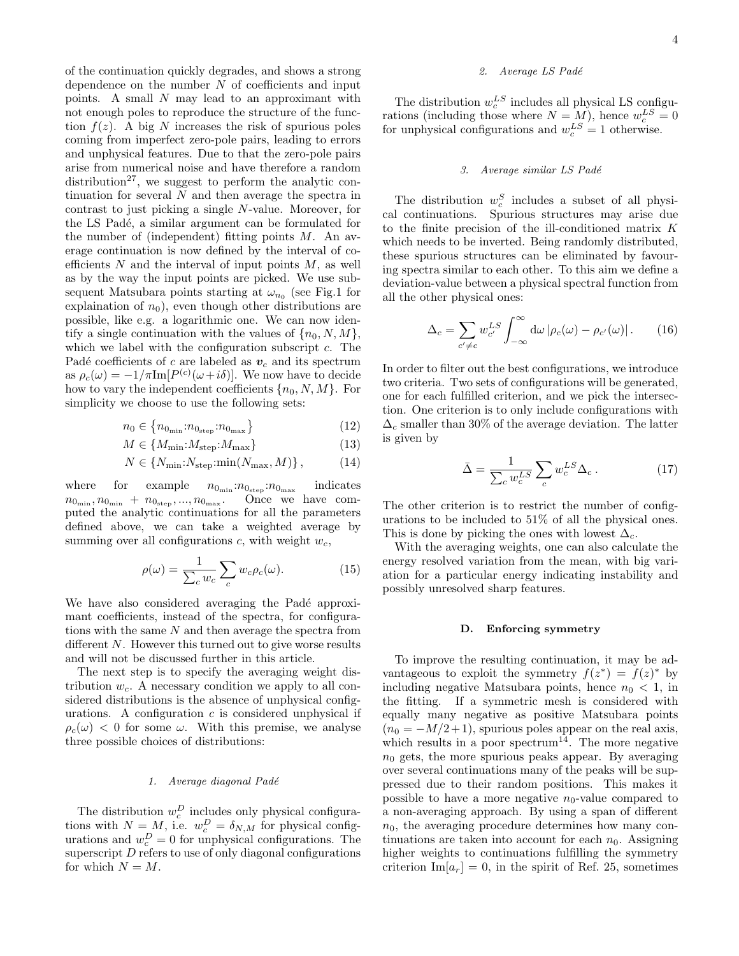of the continuation quickly degrades, and shows a strong dependence on the number  $N$  of coefficients and input points. A small N may lead to an approximant with not enough poles to reproduce the structure of the function  $f(z)$ . A big N increases the risk of spurious poles coming from imperfect zero-pole pairs, leading to errors and unphysical features. Due to that the zero-pole pairs arise from numerical noise and have therefore a random distribution<sup>27</sup>, we suggest to perform the analytic continuation for several  $N$  and then average the spectra in contrast to just picking a single N-value. Moreover, for the LS Padé, a similar argument can be formulated for the number of (independent) fitting points  $M$ . An average continuation is now defined by the interval of coefficients  $N$  and the interval of input points  $M$ , as well as by the way the input points are picked. We use subsequent Matsubara points starting at  $\omega_{n_0}$  (see Fig.1 for explaination of  $n_0$ ), even though other distributions are possible, like e.g. a logarithmic one. We can now identify a single continuation with the values of  $\{n_0, N, M\}$ , which we label with the configuration subscript  $c$ . The Padé coefficients of c are labeled as  $v_c$  and its spectrum as  $\rho_c(\omega) = -1/\pi \text{Im}[P^{(c)}(\omega + i\delta)]$ . We now have to decide how to vary the independent coefficients  $\{n_0, N, M\}$ . For simplicity we choose to use the following sets:

$$
n_0 \in \left\{ n_{0_{\min}} : n_{0_{\text{step}}} : n_{0_{\max}} \right\} \tag{12}
$$

$$
M \in \{M_{\min}: M_{\text{step}} : M_{\max}\}\
$$
 (13)

$$
N \in \{N_{\min}: N_{\text{step}} : \min(N_{\max}, M)\},\tag{14}
$$

where for example  $n_{0_{\text{min}}} : n_{0_{\text{step}}} : n_{0_{\text{max}}}$  indicates  $n_{0_{\text{min}}}, n_{0_{\text{min}}} + n_{0_{\text{step}}}, ..., n_{0_{\text{max}}}.$  Once we have computed the analytic continuations for all the parameters defined above, we can take a weighted average by summing over all configurations c, with weight  $w_c$ ,

$$
\rho(\omega) = \frac{1}{\sum_{c} w_c} \sum_{c} w_c \rho_c(\omega). \tag{15}
$$

We have also considered averaging the Padé approximant coefficients, instead of the spectra, for configurations with the same N and then average the spectra from different  $N$ . However this turned out to give worse results and will not be discussed further in this article.

The next step is to specify the averaging weight distribution  $w_c$ . A necessary condition we apply to all considered distributions is the absence of unphysical configurations. A configuration  $c$  is considered unphysical if  $\rho_c(\omega)$  < 0 for some  $\omega$ . With this premise, we analyse three possible choices of distributions:

### 1. Average diagonal Padé

The distribution  $w_c^D$  includes only physical configurations with  $N = M$ , i.e.  $w_c^D = \delta_{N,M}$  for physical configurations and  $w_c^D = 0$  for unphysical configurations. The superscript D refers to use of only diagonal configurations for which  $N = M$ .

# 2. Average LS Padé

The distribution  $w_c^{LS}$  includes all physical LS configurations (including those where  $N = M$ ), hence  $w_c^{LS} = 0$ for unphysical configurations and  $w_c^{LS} = 1$  otherwise.

### 3. Average similar LS Padé

The distribution  $w_c^S$  includes a subset of all physical continuations. Spurious structures may arise due to the finite precision of the ill-conditioned matrix K which needs to be inverted. Being randomly distributed, these spurious structures can be eliminated by favouring spectra similar to each other. To this aim we define a deviation-value between a physical spectral function from all the other physical ones:

$$
\Delta_c = \sum_{c' \neq c} w_{c'}^{LS} \int_{-\infty}^{\infty} d\omega \left| \rho_c(\omega) - \rho_{c'}(\omega) \right|.
$$
 (16)

In order to filter out the best configurations, we introduce two criteria. Two sets of configurations will be generated, one for each fulfilled criterion, and we pick the intersection. One criterion is to only include configurations with  $\Delta_c$  smaller than 30% of the average deviation. The latter is given by

$$
\bar{\Delta} = \frac{1}{\sum_{c} w_c^{LS}} \sum_{c} w_c^{LS} \Delta_c . \qquad (17)
$$

The other criterion is to restrict the number of configurations to be included to 51% of all the physical ones. This is done by picking the ones with lowest  $\Delta_c$ .

With the averaging weights, one can also calculate the energy resolved variation from the mean, with big variation for a particular energy indicating instability and possibly unresolved sharp features.

# D. Enforcing symmetry

To improve the resulting continuation, it may be advantageous to exploit the symmetry  $f(z^*) = f(z)^*$  by including negative Matsubara points, hence  $n_0 < 1$ , in the fitting. If a symmetric mesh is considered with equally many negative as positive Matsubara points  $(n_0 = -M/2+1)$ , spurious poles appear on the real axis, which results in a poor spectrum<sup>14</sup>. The more negative  $n_0$  gets, the more spurious peaks appear. By averaging over several continuations many of the peaks will be suppressed due to their random positions. This makes it possible to have a more negative  $n_0$ -value compared to a non-averaging approach. By using a span of different  $n_0$ , the averaging procedure determines how many continuations are taken into account for each  $n_0$ . Assigning higher weights to continuations fulfilling the symmetry criterion Im $[a_r] = 0$ , in the spirit of Ref. 25, sometimes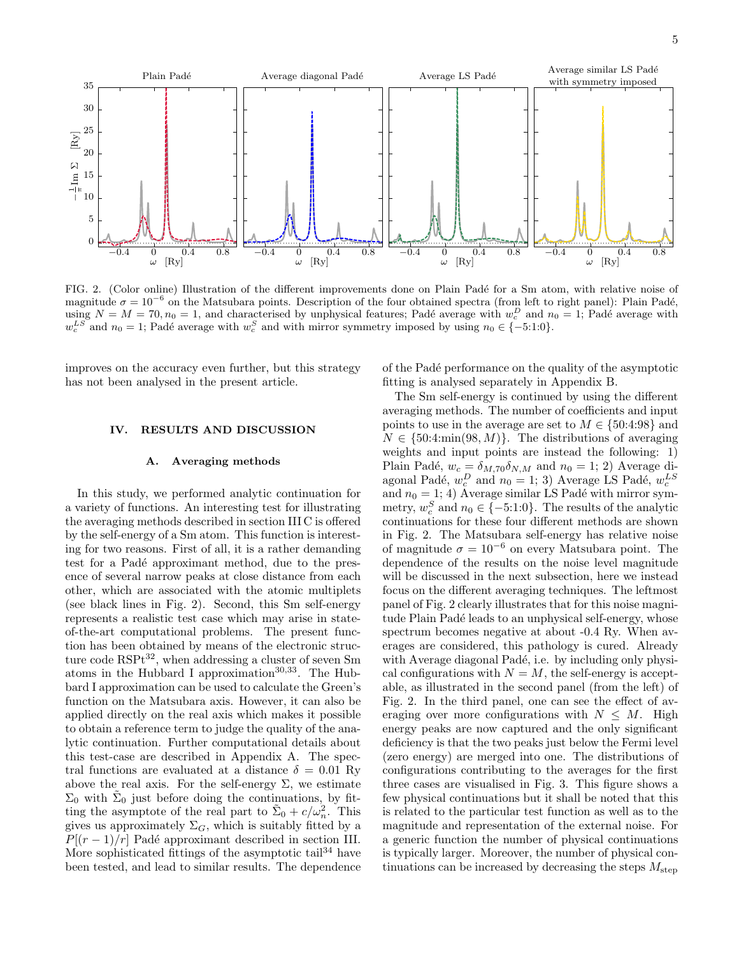

FIG. 2. (Color online) Illustration of the different improvements done on Plain Padé for a Sm atom, with relative noise of magnitude  $\sigma = 10^{-6}$  on the Matsubara points. Description of the four obtained spectra (from left to right panel): Plain Padé, using  $N = M = 70, n_0 = 1$ , and characterised by unphysical features; Padé average with  $w_c^D$  and  $n_0 = 1$ ; Padé average with  $w_c^{LS}$  and  $n_0 = 1$ ; Padé average with  $w_c^S$  and with mirror symmetry imposed by using  $n_0 \in \{-5:1:0\}$ .

improves on the accuracy even further, but this strategy has not been analysed in the present article.

## IV. RESULTS AND DISCUSSION

#### A. Averaging methods

In this study, we performed analytic continuation for a variety of functions. An interesting test for illustrating the averaging methods described in section III C is offered by the self-energy of a Sm atom. This function is interesting for two reasons. First of all, it is a rather demanding test for a Padé approximant method, due to the presence of several narrow peaks at close distance from each other, which are associated with the atomic multiplets (see black lines in Fig. 2). Second, this Sm self-energy represents a realistic test case which may arise in stateof-the-art computational problems. The present function has been obtained by means of the electronic structure code  $RSPt^{32}$ , when addressing a cluster of seven Sm atoms in the Hubbard I approximation<sup>30,33</sup>. The Hubbard I approximation can be used to calculate the Green's function on the Matsubara axis. However, it can also be applied directly on the real axis which makes it possible to obtain a reference term to judge the quality of the analytic continuation. Further computational details about this test-case are described in Appendix A. The spectral functions are evaluated at a distance  $\delta = 0.01$  Ry above the real axis. For the self-energy  $\Sigma$ , we estimate  $\Sigma_0$  with  $\tilde{\Sigma}_0$  just before doing the continuations, by fitting the asymptote of the real part to  $\tilde{\Sigma}_0 + c/\omega_n^2$ . This gives us approximately  $\Sigma_G$ , which is suitably fitted by a  $P[(r-1)/r]$  Padé approximant described in section III. More sophisticated fittings of the asymptotic tail<sup>34</sup> have been tested, and lead to similar results. The dependence

of the Pad´e performance on the quality of the asymptotic fitting is analysed separately in Appendix B.

The Sm self-energy is continued by using the different averaging methods. The number of coefficients and input points to use in the average are set to  $M \in \{50:4:98\}$  and  $N \in \{50:4:\min(98, M)\}\.$  The distributions of averaging weights and input points are instead the following: 1) Plain Padé,  $w_c = \delta_{M,70}\delta_{N,M}$  and  $n_0 = 1; 2$ ) Average diagonal Padé,  $w_c^D$  and  $n_0 = 1; 3$ ) Average LS Padé,  $w_c^{LS}$ and  $n_0 = 1$ ; 4) Average similar LS Padé with mirror symmetry,  $w_c^S$  and  $n_0 \in \{-5:1:0\}$ . The results of the analytic continuations for these four different methods are shown in Fig. 2. The Matsubara self-energy has relative noise of magnitude  $\sigma = 10^{-6}$  on every Matsubara point. The dependence of the results on the noise level magnitude will be discussed in the next subsection, here we instead focus on the different averaging techniques. The leftmost panel of Fig. 2 clearly illustrates that for this noise magnitude Plain Padé leads to an unphysical self-energy, whose spectrum becomes negative at about -0.4 Ry. When averages are considered, this pathology is cured. Already with Average diagonal Padé, i.e. by including only physical configurations with  $N = M$ , the self-energy is acceptable, as illustrated in the second panel (from the left) of Fig. 2. In the third panel, one can see the effect of averaging over more configurations with  $N \leq M$ . High energy peaks are now captured and the only significant deficiency is that the two peaks just below the Fermi level (zero energy) are merged into one. The distributions of configurations contributing to the averages for the first three cases are visualised in Fig. 3. This figure shows a few physical continuations but it shall be noted that this is related to the particular test function as well as to the magnitude and representation of the external noise. For a generic function the number of physical continuations is typically larger. Moreover, the number of physical continuations can be increased by decreasing the steps  $M_{\text{step}}$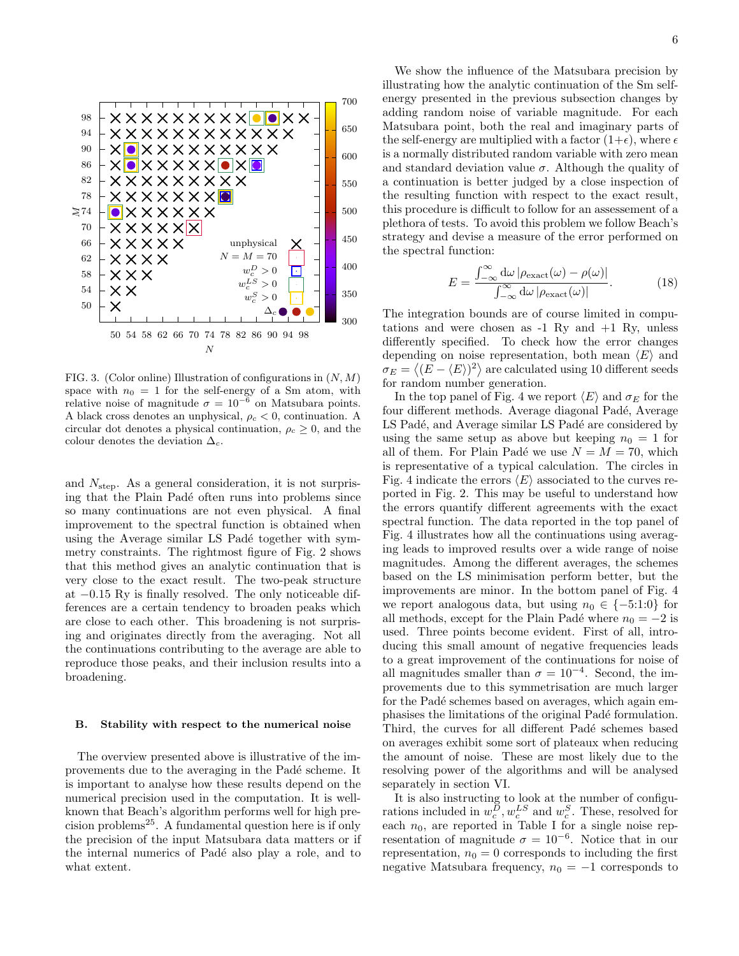

FIG. 3. (Color online) Illustration of configurations in  $(N, M)$ space with  $n_0 = 1$  for the self-energy of a Sm atom, with relative noise of magnitude  $\sigma = 10^{-6}$  on Matsubara points. A black cross denotes an unphysical,  $\rho_c < 0$ , continuation. A circular dot denotes a physical continuation,  $\rho_c \geq 0$ , and the colour denotes the deviation  $\Delta_c$ .

and  $N_{\text{step}}$ . As a general consideration, it is not surprising that the Plain Padé often runs into problems since so many continuations are not even physical. A final improvement to the spectral function is obtained when using the Average similar LS Padé together with symmetry constraints. The rightmost figure of Fig. 2 shows that this method gives an analytic continuation that is very close to the exact result. The two-peak structure at −0.15 Ry is finally resolved. The only noticeable differences are a certain tendency to broaden peaks which are close to each other. This broadening is not surprising and originates directly from the averaging. Not all the continuations contributing to the average are able to reproduce those peaks, and their inclusion results into a broadening.

#### B. Stability with respect to the numerical noise

The overview presented above is illustrative of the improvements due to the averaging in the Padé scheme. It is important to analyse how these results depend on the numerical precision used in the computation. It is wellknown that Beach's algorithm performs well for high pre $cision problems<sup>25</sup>$ . A fundamental question here is if only the precision of the input Matsubara data matters or if the internal numerics of Padé also play a role, and to what extent.

We show the influence of the Matsubara precision by illustrating how the analytic continuation of the Sm selfenergy presented in the previous subsection changes by adding random noise of variable magnitude. For each Matsubara point, both the real and imaginary parts of the self-energy are multiplied with a factor  $(1+\epsilon)$ , where  $\epsilon$ is a normally distributed random variable with zero mean and standard deviation value  $\sigma$ . Although the quality of a continuation is better judged by a close inspection of the resulting function with respect to the exact result, this procedure is difficult to follow for an assessement of a plethora of tests. To avoid this problem we follow Beach's strategy and devise a measure of the error performed on the spectral function:

$$
E = \frac{\int_{-\infty}^{\infty} d\omega \left| \rho_{\text{exact}}(\omega) - \rho(\omega) \right|}{\int_{-\infty}^{\infty} d\omega \left| \rho_{\text{exact}}(\omega) \right|}.
$$
 (18)

The integration bounds are of course limited in computations and were chosen as  $-1$  Ry and  $+1$  Ry, unless differently specified. To check how the error changes depending on noise representation, both mean  $\langle E \rangle$  and  $\sigma_E = \langle (E - \langle E \rangle)^2 \rangle$  are calculated using 10 different seeds for random number generation.

In the top panel of Fig. 4 we report  $\langle E \rangle$  and  $\sigma_E$  for the four different methods. Average diagonal Padé, Average LS Padé, and Average similar LS Padé are considered by using the same setup as above but keeping  $n_0 = 1$  for all of them. For Plain Padé we use  $N = M = 70$ , which is representative of a typical calculation. The circles in Fig. 4 indicate the errors  $\langle E \rangle$  associated to the curves reported in Fig. 2. This may be useful to understand how the errors quantify different agreements with the exact spectral function. The data reported in the top panel of Fig. 4 illustrates how all the continuations using averaging leads to improved results over a wide range of noise magnitudes. Among the different averages, the schemes based on the LS minimisation perform better, but the improvements are minor. In the bottom panel of Fig. 4 we report analogous data, but using  $n_0 \in \{-5:1:0\}$  for all methods, except for the Plain Padé where  $n_0 = -2$  is used. Three points become evident. First of all, introducing this small amount of negative frequencies leads to a great improvement of the continuations for noise of all magnitudes smaller than  $\sigma = 10^{-4}$ . Second, the improvements due to this symmetrisation are much larger for the Padé schemes based on averages, which again emphasises the limitations of the original Padé formulation. Third, the curves for all different Padé schemes based on averages exhibit some sort of plateaux when reducing the amount of noise. These are most likely due to the resolving power of the algorithms and will be analysed separately in section VI.

It is also instructing to look at the number of configurations included in  $w_c^D, w_c^{LS}$  and  $w_c^S$ . These, resolved for each  $n_0$ , are reported in Table I for a single noise representation of magnitude  $\sigma = 10^{-6}$ . Notice that in our representation,  $n_0 = 0$  corresponds to including the first negative Matsubara frequency,  $n_0 = -1$  corresponds to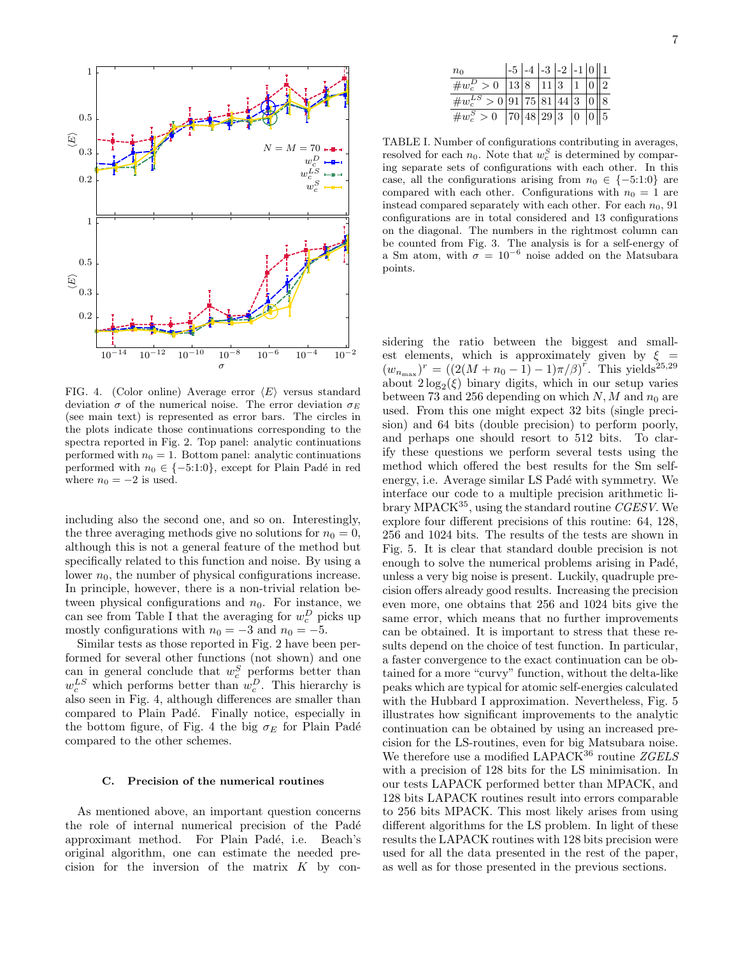

FIG. 4. (Color online) Average error  $\langle E \rangle$  versus standard deviation  $\sigma$  of the numerical noise. The error deviation  $\sigma_E$ (see main text) is represented as error bars. The circles in the plots indicate those continuations corresponding to the spectra reported in Fig. 2. Top panel: analytic continuations performed with  $n_0 = 1$ . Bottom panel: analytic continuations performed with  $n_0 \in \{-5:1:0\}$ , except for Plain Padé in red where  $n_0 = -2$  is used.

including also the second one, and so on. Interestingly, the three averaging methods give no solutions for  $n_0 = 0$ , although this is not a general feature of the method but specifically related to this function and noise. By using a lower  $n_0$ , the number of physical configurations increase. In principle, however, there is a non-trivial relation between physical configurations and  $n_0$ . For instance, we can see from Table I that the averaging for  $w^{D}_{c}$  picks up mostly configurations with  $n_0 = -3$  and  $n_0 = -5$ .

Similar tests as those reported in Fig. 2 have been performed for several other functions (not shown) and one can in general conclude that  $w_c^S$  performs better than  $w_c^{LS}$  which performs better than  $w_c^D$ . This hierarchy is also seen in Fig. 4, although differences are smaller than compared to Plain Padé. Finally notice, especially in the bottom figure, of Fig. 4 the big  $\sigma_E$  for Plain Padé compared to the other schemes.

### C. Precision of the numerical routines

As mentioned above, an important question concerns the role of internal numerical precision of the Padé approximant method. For Plain Padé, i.e. Beach's original algorithm, one can estimate the needed precision for the inversion of the matrix  $K$  by con-

| $n_0$                                       |  | $\left  -5 \right $ -4 $\left  -3 \right $ -2 $\left  -1 \right  0 \parallel 1$ |  |  |
|---------------------------------------------|--|---------------------------------------------------------------------------------|--|--|
| $\#w_c^D > 0$   13   8   11   3   1   0   2 |  |                                                                                 |  |  |
| $\#w_c^{LS} > 0$ 91 75 81 44 3 0 8          |  |                                                                                 |  |  |
| $\#w_c^S > 0$ 70 48 29 3 0 0 5              |  |                                                                                 |  |  |

TABLE I. Number of configurations contributing in averages, resolved for each  $n_0$ . Note that  $w_c^S$  is determined by comparing separate sets of configurations with each other. In this case, all the configurations arising from  $n_0 \in \{-5:1:0\}$  are compared with each other. Configurations with  $n_0 = 1$  are instead compared separately with each other. For each  $n_0$ , 91 configurations are in total considered and 13 configurations on the diagonal. The numbers in the rightmost column can be counted from Fig. 3. The analysis is for a self-energy of a Sm atom, with  $\sigma = 10^{-6}$  noise added on the Matsubara points.

sidering the ratio between the biggest and smallest elements, which is approximately given by  $\xi =$  $(w_{n_{\text{max}}})^r = ((2(M + n_0 - 1) - 1)\pi/\beta)^r$ . This yields<sup>25,29</sup> about  $2\log_2(\xi)$  binary digits, which in our setup varies between 73 and 256 depending on which N, M and  $n_0$  are used. From this one might expect 32 bits (single precision) and 64 bits (double precision) to perform poorly, and perhaps one should resort to 512 bits. To clarify these questions we perform several tests using the method which offered the best results for the Sm selfenergy, i.e. Average similar LS Padé with symmetry. We interface our code to a multiple precision arithmetic library MPACK<sup>35</sup>, using the standard routine *CGESV*. We explore four different precisions of this routine: 64, 128, 256 and 1024 bits. The results of the tests are shown in Fig. 5. It is clear that standard double precision is not enough to solve the numerical problems arising in Padé, unless a very big noise is present. Luckily, quadruple precision offers already good results. Increasing the precision even more, one obtains that 256 and 1024 bits give the same error, which means that no further improvements can be obtained. It is important to stress that these results depend on the choice of test function. In particular, a faster convergence to the exact continuation can be obtained for a more "curvy" function, without the delta-like peaks which are typical for atomic self-energies calculated with the Hubbard I approximation. Nevertheless, Fig. 5 illustrates how significant improvements to the analytic continuation can be obtained by using an increased precision for the LS-routines, even for big Matsubara noise. We therefore use a modified LAPACK<sup>36</sup> routine  $ZGELS$ with a precision of 128 bits for the LS minimisation. In our tests LAPACK performed better than MPACK, and 128 bits LAPACK routines result into errors comparable to 256 bits MPACK. This most likely arises from using different algorithms for the LS problem. In light of these results the LAPACK routines with 128 bits precision were used for all the data presented in the rest of the paper, as well as for those presented in the previous sections.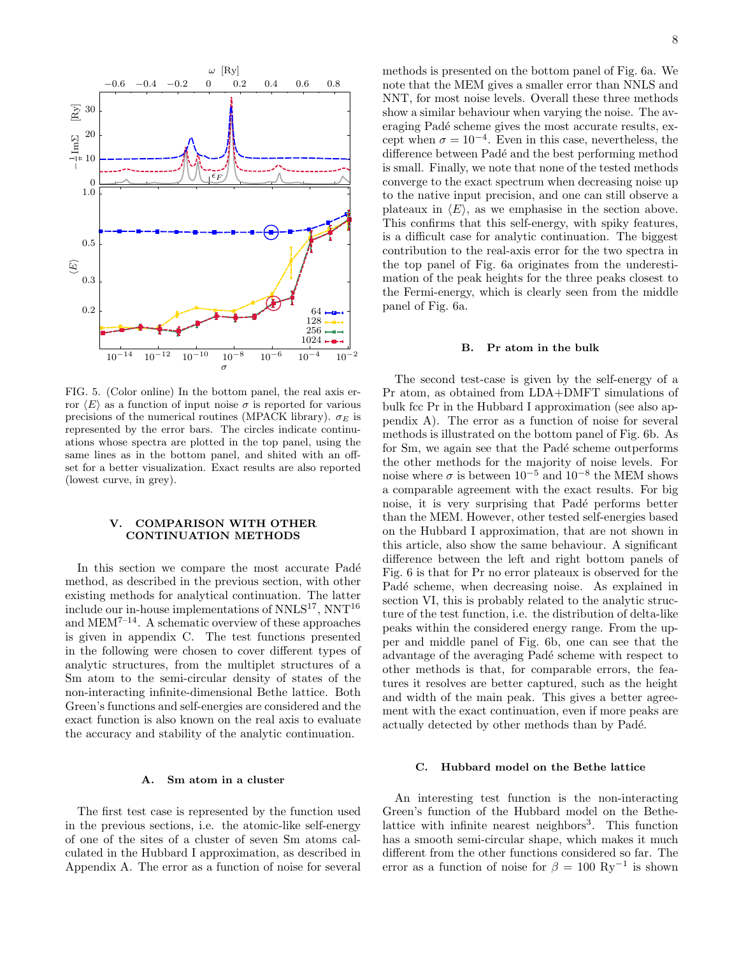

FIG. 5. (Color online) In the bottom panel, the real axis error  $\langle E \rangle$  as a function of input noise  $\sigma$  is reported for various precisions of the numerical routines (MPACK library).  $\sigma_E$  is represented by the error bars. The circles indicate continuations whose spectra are plotted in the top panel, using the same lines as in the bottom panel, and shited with an offset for a better visualization. Exact results are also reported (lowest curve, in grey).

# V. COMPARISON WITH OTHER CONTINUATION METHODS

In this section we compare the most accurate Padé method, as described in the previous section, with other existing methods for analytical continuation. The latter include our in-house implementations of  $NNLS^{17}$ ,  $NNT^{16}$ and  $MEM^{7-14}$ . A schematic overview of these approaches is given in appendix C. The test functions presented in the following were chosen to cover different types of analytic structures, from the multiplet structures of a Sm atom to the semi-circular density of states of the non-interacting infinite-dimensional Bethe lattice. Both Green's functions and self-energies are considered and the exact function is also known on the real axis to evaluate the accuracy and stability of the analytic continuation.

#### A. Sm atom in a cluster

The first test case is represented by the function used in the previous sections, i.e. the atomic-like self-energy of one of the sites of a cluster of seven Sm atoms calculated in the Hubbard I approximation, as described in Appendix A. The error as a function of noise for several methods is presented on the bottom panel of Fig. 6a. We note that the MEM gives a smaller error than NNLS and NNT, for most noise levels. Overall these three methods show a similar behaviour when varying the noise. The averaging Padé scheme gives the most accurate results, except when  $\sigma = 10^{-4}$ . Even in this case, nevertheless, the difference between Padé and the best performing method is small. Finally, we note that none of the tested methods converge to the exact spectrum when decreasing noise up to the native input precision, and one can still observe a plateaux in  $\langle E \rangle$ , as we emphasise in the section above. This confirms that this self-energy, with spiky features, is a difficult case for analytic continuation. The biggest contribution to the real-axis error for the two spectra in the top panel of Fig. 6a originates from the underestimation of the peak heights for the three peaks closest to the Fermi-energy, which is clearly seen from the middle panel of Fig. 6a.

#### B. Pr atom in the bulk

The second test-case is given by the self-energy of a Pr atom, as obtained from LDA+DMFT simulations of bulk fcc Pr in the Hubbard I approximation (see also appendix A). The error as a function of noise for several methods is illustrated on the bottom panel of Fig. 6b. As for Sm, we again see that the Padé scheme outperforms the other methods for the majority of noise levels. For noise where  $\sigma$  is between  $10^{-5}$  and  $10^{-8}$  the MEM shows a comparable agreement with the exact results. For big noise, it is very surprising that Padé performs better than the MEM. However, other tested self-energies based on the Hubbard I approximation, that are not shown in this article, also show the same behaviour. A significant difference between the left and right bottom panels of Fig. 6 is that for Pr no error plateaux is observed for the Padé scheme, when decreasing noise. As explained in section VI, this is probably related to the analytic structure of the test function, i.e. the distribution of delta-like peaks within the considered energy range. From the upper and middle panel of Fig. 6b, one can see that the advantage of the averaging Padé scheme with respect to other methods is that, for comparable errors, the features it resolves are better captured, such as the height and width of the main peak. This gives a better agreement with the exact continuation, even if more peaks are actually detected by other methods than by Padé.

### C. Hubbard model on the Bethe lattice

An interesting test function is the non-interacting Green's function of the Hubbard model on the Bethelattice with infinite nearest neighbors<sup>3</sup>. This function has a smooth semi-circular shape, which makes it much different from the other functions considered so far. The error as a function of noise for  $\beta = 100 \text{ Ry}^{-1}$  is shown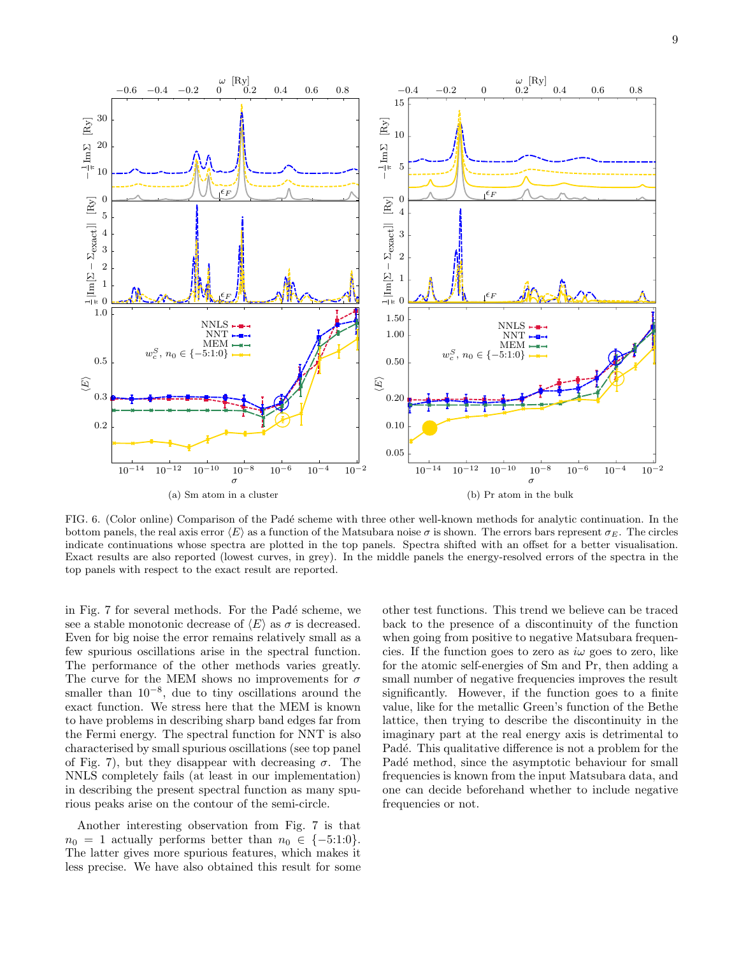

FIG. 6. (Color online) Comparison of the Padé scheme with three other well-known methods for analytic continuation. In the bottom panels, the real axis error  $\langle E \rangle$  as a function of the Matsubara noise  $\sigma$  is shown. The errors bars represent  $\sigma_E$ . The circles indicate continuations whose spectra are plotted in the top panels. Spectra shifted with an offset for a better visualisation. Exact results are also reported (lowest curves, in grey). In the middle panels the energy-resolved errors of the spectra in the top panels with respect to the exact result are reported.

in Fig. 7 for several methods. For the Padé scheme, we see a stable monotonic decrease of  $\langle E \rangle$  as  $\sigma$  is decreased. Even for big noise the error remains relatively small as a few spurious oscillations arise in the spectral function. The performance of the other methods varies greatly. The curve for the MEM shows no improvements for  $\sigma$ smaller than  $10^{-8}$ , due to tiny oscillations around the exact function. We stress here that the MEM is known to have problems in describing sharp band edges far from the Fermi energy. The spectral function for NNT is also characterised by small spurious oscillations (see top panel of Fig. 7), but they disappear with decreasing  $\sigma$ . The NNLS completely fails (at least in our implementation) in describing the present spectral function as many spurious peaks arise on the contour of the semi-circle.

Another interesting observation from Fig. 7 is that  $n_0 = 1$  actually performs better than  $n_0 \in \{-5:1:0\}.$ The latter gives more spurious features, which makes it less precise. We have also obtained this result for some

other test functions. This trend we believe can be traced back to the presence of a discontinuity of the function when going from positive to negative Matsubara frequencies. If the function goes to zero as  $i\omega$  goes to zero, like for the atomic self-energies of Sm and Pr, then adding a small number of negative frequencies improves the result significantly. However, if the function goes to a finite value, like for the metallic Green's function of the Bethe lattice, then trying to describe the discontinuity in the imaginary part at the real energy axis is detrimental to Padé. This qualitative difference is not a problem for the Padé method, since the asymptotic behaviour for small frequencies is known from the input Matsubara data, and one can decide beforehand whether to include negative frequencies or not.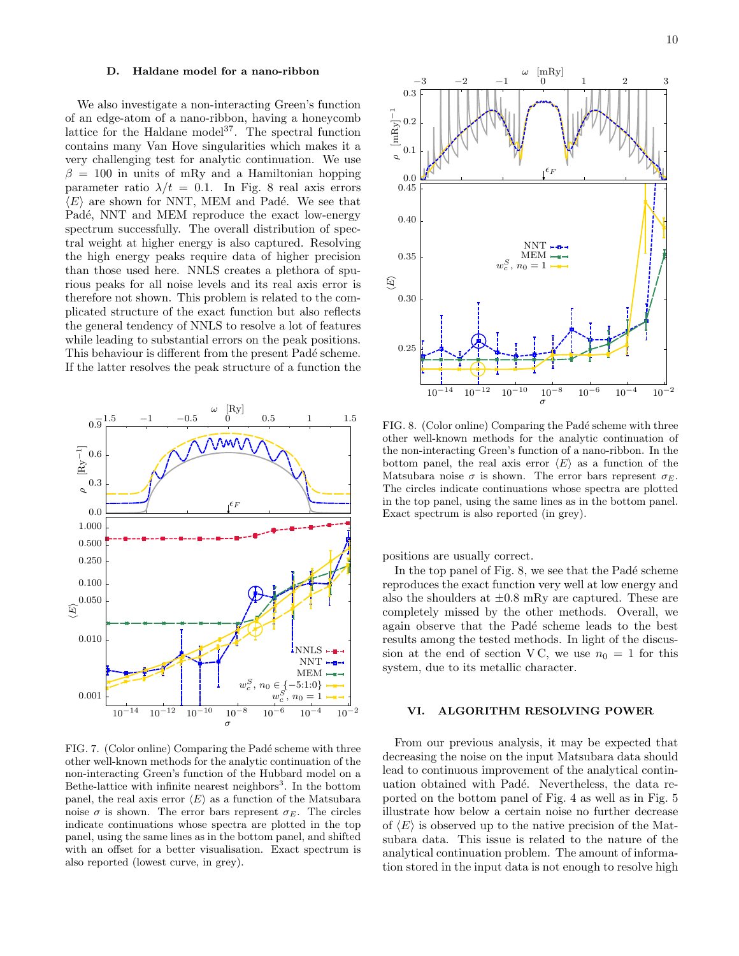#### D. Haldane model for a nano-ribbon

We also investigate a non-interacting Green's function of an edge-atom of a nano-ribbon, having a honeycomb lattice for the Haldane model<sup>37</sup>. The spectral function contains many Van Hove singularities which makes it a very challenging test for analytic continuation. We use  $\beta = 100$  in units of mRy and a Hamiltonian hopping parameter ratio  $\lambda/t = 0.1$ . In Fig. 8 real axis errors  $\langle E \rangle$  are shown for NNT, MEM and Padé. We see that Padé, NNT and MEM reproduce the exact low-energy spectrum successfully. The overall distribution of spectral weight at higher energy is also captured. Resolving the high energy peaks require data of higher precision than those used here. NNLS creates a plethora of spurious peaks for all noise levels and its real axis error is therefore not shown. This problem is related to the complicated structure of the exact function but also reflects the general tendency of NNLS to resolve a lot of features while leading to substantial errors on the peak positions. This behaviour is different from the present Padé scheme. If the latter resolves the peak structure of a function the



FIG. 7. (Color online) Comparing the Padé scheme with three other well-known methods for the analytic continuation of the non-interacting Green's function of the Hubbard model on a Bethe-lattice with infinite nearest neighbors<sup>3</sup>. In the bottom panel, the real axis error  $\langle E \rangle$  as a function of the Matsubara noise  $\sigma$  is shown. The error bars represent  $\sigma_E$ . The circles indicate continuations whose spectra are plotted in the top panel, using the same lines as in the bottom panel, and shifted with an offset for a better visualisation. Exact spectrum is also reported (lowest curve, in grey).



FIG. 8. (Color online) Comparing the Padé scheme with three other well-known methods for the analytic continuation of the non-interacting Green's function of a nano-ribbon. In the bottom panel, the real axis error  $\langle E \rangle$  as a function of the Matsubara noise  $\sigma$  is shown. The error bars represent  $\sigma_E$ . The circles indicate continuations whose spectra are plotted in the top panel, using the same lines as in the bottom panel. Exact spectrum is also reported (in grey).

positions are usually correct.

In the top panel of Fig.  $8$ , we see that the Padé scheme reproduces the exact function very well at low energy and also the shoulders at  $\pm 0.8$  mRy are captured. These are completely missed by the other methods. Overall, we again observe that the Padé scheme leads to the best results among the tested methods. In light of the discussion at the end of section VC, we use  $n_0 = 1$  for this system, due to its metallic character.

# VI. ALGORITHM RESOLVING POWER

From our previous analysis, it may be expected that decreasing the noise on the input Matsubara data should lead to continuous improvement of the analytical continuation obtained with Padé. Nevertheless, the data reported on the bottom panel of Fig. 4 as well as in Fig. 5 illustrate how below a certain noise no further decrease of  $\langle E \rangle$  is observed up to the native precision of the Matsubara data. This issue is related to the nature of the analytical continuation problem. The amount of information stored in the input data is not enough to resolve high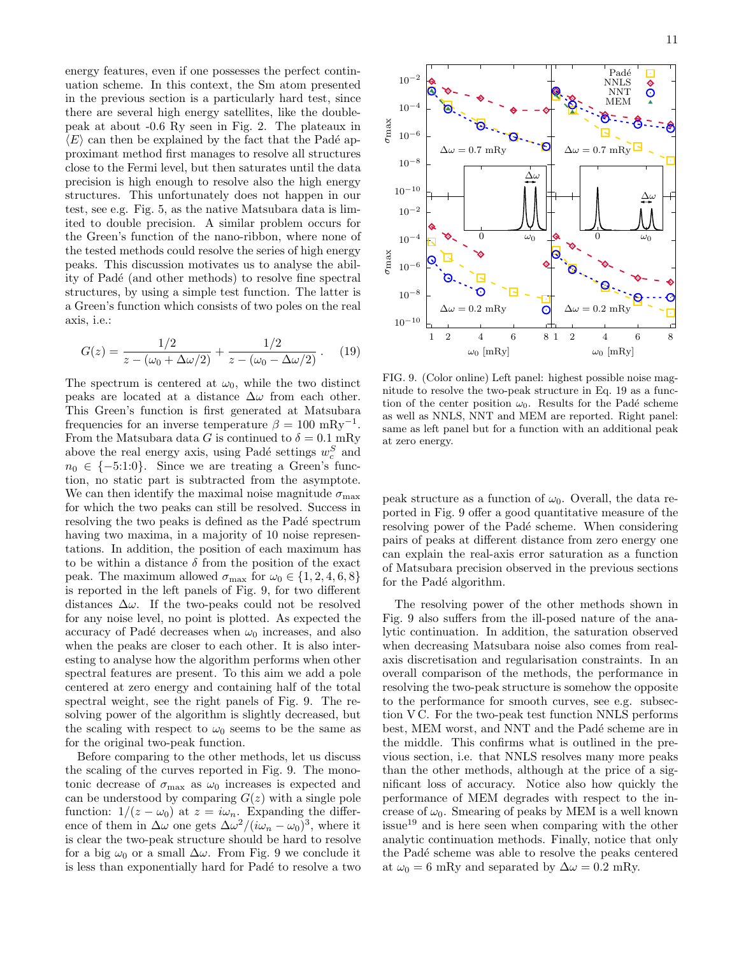energy features, even if one possesses the perfect continuation scheme. In this context, the Sm atom presented in the previous section is a particularly hard test, since there are several high energy satellites, like the doublepeak at about -0.6 Ry seen in Fig. 2. The plateaux in  $\langle E \rangle$  can then be explained by the fact that the Padé approximant method first manages to resolve all structures close to the Fermi level, but then saturates until the data precision is high enough to resolve also the high energy structures. This unfortunately does not happen in our test, see e.g. Fig. 5, as the native Matsubara data is limited to double precision. A similar problem occurs for the Green's function of the nano-ribbon, where none of the tested methods could resolve the series of high energy peaks. This discussion motivates us to analyse the ability of Padé (and other methods) to resolve fine spectral structures, by using a simple test function. The latter is a Green's function which consists of two poles on the real axis, i.e.:

$$
G(z) = \frac{1/2}{z - (\omega_0 + \Delta\omega/2)} + \frac{1/2}{z - (\omega_0 - \Delta\omega/2)}.
$$
 (19)

The spectrum is centered at  $\omega_0$ , while the two distinct peaks are located at a distance  $\Delta\omega$  from each other. This Green's function is first generated at Matsubara frequencies for an inverse temperature  $\beta = 100 \text{ mRy}^{-1}$ . From the Matsubara data G is continued to  $\delta = 0.1$  mRy above the real energy axis, using Padé settings  $w_c^S$  and  $n_0 \in \{-5:1:0\}$ . Since we are treating a Green's function, no static part is subtracted from the asymptote. We can then identify the maximal noise magnitude  $\sigma_{\text{max}}$ for which the two peaks can still be resolved. Success in resolving the two peaks is defined as the Padé spectrum having two maxima, in a majority of 10 noise representations. In addition, the position of each maximum has to be within a distance  $\delta$  from the position of the exact peak. The maximum allowed  $\sigma_{\text{max}}$  for  $\omega_0 \in \{1, 2, 4, 6, 8\}$ is reported in the left panels of Fig. 9, for two different distances  $\Delta\omega$ . If the two-peaks could not be resolved for any noise level, no point is plotted. As expected the accuracy of Padé decreases when  $\omega_0$  increases, and also when the peaks are closer to each other. It is also interesting to analyse how the algorithm performs when other spectral features are present. To this aim we add a pole centered at zero energy and containing half of the total spectral weight, see the right panels of Fig. 9. The resolving power of the algorithm is slightly decreased, but the scaling with respect to  $\omega_0$  seems to be the same as for the original two-peak function.

Before comparing to the other methods, let us discuss the scaling of the curves reported in Fig. 9. The monotonic decrease of  $\sigma_{\text{max}}$  as  $\omega_0$  increases is expected and can be understood by comparing  $G(z)$  with a single pole function:  $1/(z - \omega_0)$  at  $z = i\omega_n$ . Expanding the difference of them in  $\Delta\omega$  one gets  $\Delta\omega^2/(i\omega_n - \omega_0)^3$ , where it is clear the two-peak structure should be hard to resolve for a big  $\omega_0$  or a small  $\Delta\omega$ . From Fig. 9 we conclude it is less than exponentially hard for Padé to resolve a two



FIG. 9. (Color online) Left panel: highest possible noise magnitude to resolve the two-peak structure in Eq. 19 as a function of the center position  $\omega_0$ . Results for the Padé scheme as well as NNLS, NNT and MEM are reported. Right panel: same as left panel but for a function with an additional peak at zero energy.

peak structure as a function of  $\omega_0$ . Overall, the data reported in Fig. 9 offer a good quantitative measure of the resolving power of the Padé scheme. When considering pairs of peaks at different distance from zero energy one can explain the real-axis error saturation as a function of Matsubara precision observed in the previous sections for the Padé algorithm.

The resolving power of the other methods shown in Fig. 9 also suffers from the ill-posed nature of the analytic continuation. In addition, the saturation observed when decreasing Matsubara noise also comes from realaxis discretisation and regularisation constraints. In an overall comparison of the methods, the performance in resolving the two-peak structure is somehow the opposite to the performance for smooth curves, see e.g. subsection V C. For the two-peak test function NNLS performs best, MEM worst, and NNT and the Padé scheme are in the middle. This confirms what is outlined in the previous section, i.e. that NNLS resolves many more peaks than the other methods, although at the price of a significant loss of accuracy. Notice also how quickly the performance of MEM degrades with respect to the increase of  $\omega_0$ . Smearing of peaks by MEM is a well known  $i$ ssue<sup>19</sup> and is here seen when comparing with the other analytic continuation methods. Finally, notice that only the Padé scheme was able to resolve the peaks centered at  $\omega_0 = 6$  mRy and separated by  $\Delta \omega = 0.2$  mRy.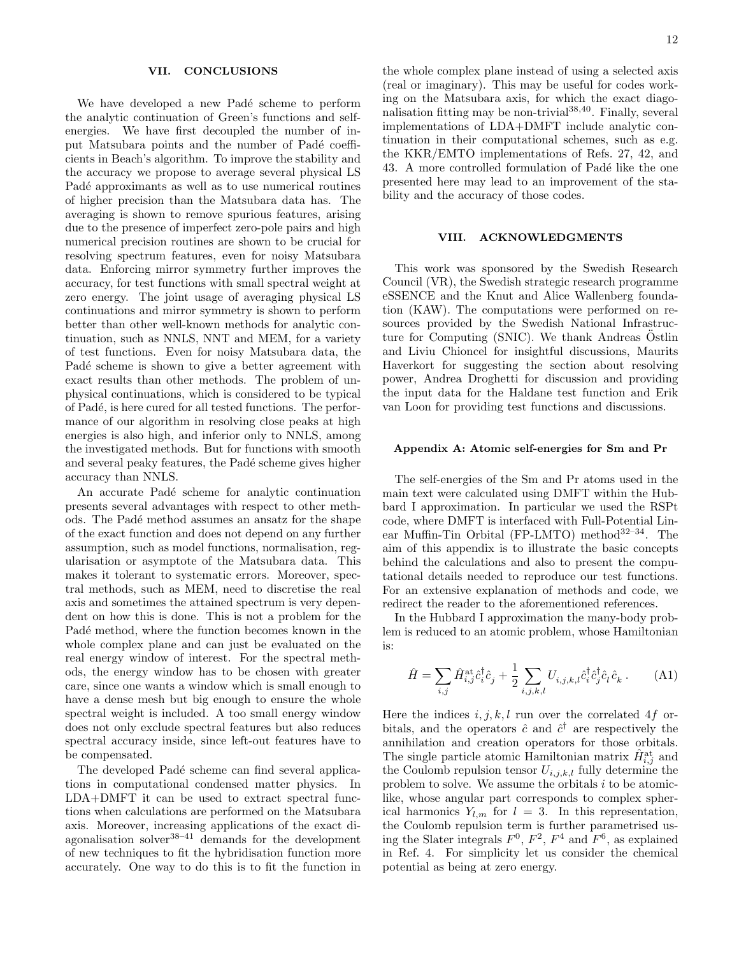### VII. CONCLUSIONS

We have developed a new Padé scheme to perform the analytic continuation of Green's functions and selfenergies. We have first decoupled the number of input Matsubara points and the number of Padé coefficients in Beach's algorithm. To improve the stability and the accuracy we propose to average several physical LS Padé approximants as well as to use numerical routines of higher precision than the Matsubara data has. The averaging is shown to remove spurious features, arising due to the presence of imperfect zero-pole pairs and high numerical precision routines are shown to be crucial for resolving spectrum features, even for noisy Matsubara data. Enforcing mirror symmetry further improves the accuracy, for test functions with small spectral weight at zero energy. The joint usage of averaging physical LS continuations and mirror symmetry is shown to perform better than other well-known methods for analytic continuation, such as NNLS, NNT and MEM, for a variety of test functions. Even for noisy Matsubara data, the Padé scheme is shown to give a better agreement with exact results than other methods. The problem of unphysical continuations, which is considered to be typical of Pad´e, is here cured for all tested functions. The performance of our algorithm in resolving close peaks at high energies is also high, and inferior only to NNLS, among the investigated methods. But for functions with smooth and several peaky features, the Padé scheme gives higher accuracy than NNLS.

An accurate Padé scheme for analytic continuation presents several advantages with respect to other methods. The Padé method assumes an ansatz for the shape of the exact function and does not depend on any further assumption, such as model functions, normalisation, regularisation or asymptote of the Matsubara data. This makes it tolerant to systematic errors. Moreover, spectral methods, such as MEM, need to discretise the real axis and sometimes the attained spectrum is very dependent on how this is done. This is not a problem for the Padé method, where the function becomes known in the whole complex plane and can just be evaluated on the real energy window of interest. For the spectral methods, the energy window has to be chosen with greater care, since one wants a window which is small enough to have a dense mesh but big enough to ensure the whole spectral weight is included. A too small energy window does not only exclude spectral features but also reduces spectral accuracy inside, since left-out features have to be compensated.

The developed Padé scheme can find several applications in computational condensed matter physics. In LDA+DMFT it can be used to extract spectral functions when calculations are performed on the Matsubara axis. Moreover, increasing applications of the exact diagonalisation solver $38-41$  demands for the development of new techniques to fit the hybridisation function more accurately. One way to do this is to fit the function in

the whole complex plane instead of using a selected axis (real or imaginary). This may be useful for codes working on the Matsubara axis, for which the exact diagonalisation fitting may be non-trivial  $38,40$ . Finally, several implementations of LDA+DMFT include analytic continuation in their computational schemes, such as e.g. the KKR/EMTO implementations of Refs. 27, 42, and 43. A more controlled formulation of Padé like the one presented here may lead to an improvement of the stability and the accuracy of those codes.

# VIII. ACKNOWLEDGMENTS

This work was sponsored by the Swedish Research Council (VR), the Swedish strategic research programme eSSENCE and the Knut and Alice Wallenberg foundation (KAW). The computations were performed on resources provided by the Swedish National Infrastructure for Computing (SNIC). We thank Andreas Ostlin and Liviu Chioncel for insightful discussions, Maurits Haverkort for suggesting the section about resolving power, Andrea Droghetti for discussion and providing the input data for the Haldane test function and Erik van Loon for providing test functions and discussions.

#### Appendix A: Atomic self-energies for Sm and Pr

The self-energies of the Sm and Pr atoms used in the main text were calculated using DMFT within the Hubbard I approximation. In particular we used the RSPt code, where DMFT is interfaced with Full-Potential Linear Muffin-Tin Orbital (FP-LMTO) method<sup>32-34</sup>. The aim of this appendix is to illustrate the basic concepts behind the calculations and also to present the computational details needed to reproduce our test functions. For an extensive explanation of methods and code, we redirect the reader to the aforementioned references.

In the Hubbard I approximation the many-body problem is reduced to an atomic problem, whose Hamiltonian is:

$$
\hat{H} = \sum_{i,j} \hat{H}_{i,j}^{\text{at}} \hat{c}_i^{\dagger} \hat{c}_j + \frac{1}{2} \sum_{i,j,k,l} U_{i,j,k,l} \hat{c}_i^{\dagger} \hat{c}_j^{\dagger} \hat{c}_l \hat{c}_k . \tag{A1}
$$

Here the indices  $i, j, k, l$  run over the correlated 4f orbitals, and the operators  $\hat{c}$  and  $\hat{c}^{\dagger}$  are respectively the annihilation and creation operators for those orbitals. The single particle atomic Hamiltonian matrix  $\hat{H}_{i,j}^{\text{at}}$  and the Coulomb repulsion tensor  $U_{i,j,k,l}$  fully determine the problem to solve. We assume the orbitals  $i$  to be atomiclike, whose angular part corresponds to complex spherical harmonics  $Y_{l,m}$  for  $l = 3$ . In this representation, the Coulomb repulsion term is further parametrised using the Slater integrals  $F^0$ ,  $F^2$ ,  $F^4$  and  $F^6$ , as explained in Ref. 4. For simplicity let us consider the chemical potential as being at zero energy.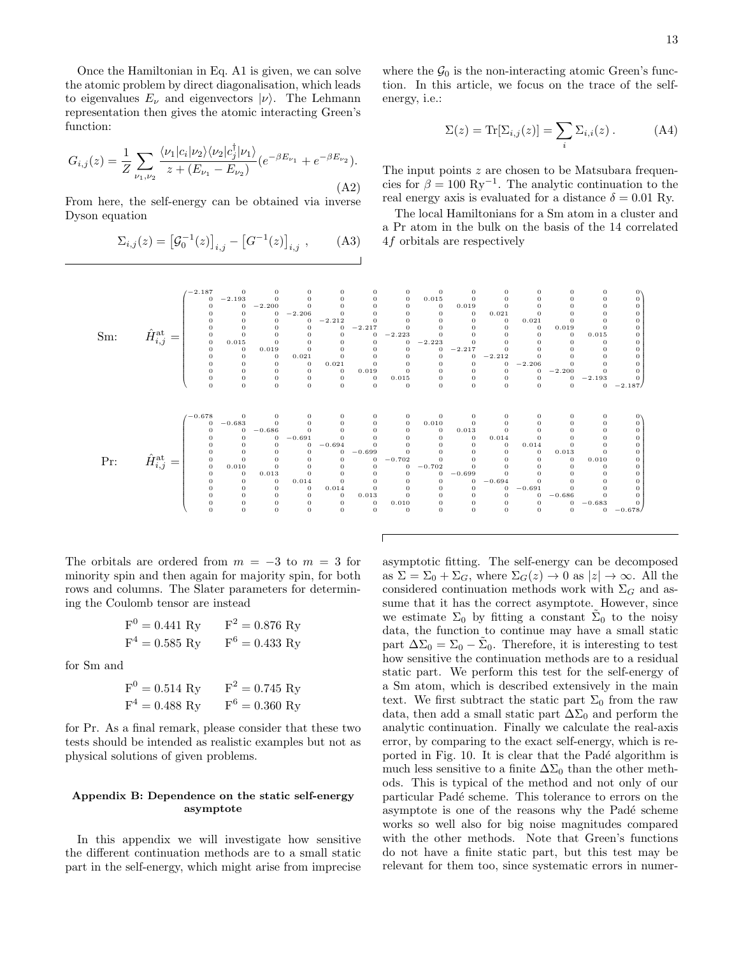Once the Hamiltonian in Eq. A1 is given, we can solve the atomic problem by direct diagonalisation, which leads to eigenvalues  $E_{\nu}$  and eigenvectors  $|\nu\rangle$ . The Lehmann representation then gives the atomic interacting Green's function:

$$
G_{i,j}(z) = \frac{1}{Z} \sum_{\nu_1, \nu_2} \frac{\langle \nu_1 | c_i | \nu_2 \rangle \langle \nu_2 | c_j^{\dagger} | \nu_1 \rangle}{z + (E_{\nu_1} - E_{\nu_2})} (e^{-\beta E_{\nu_1}} + e^{-\beta E_{\nu_2}}).
$$
\n(A2)

From here, the self-energy can be obtained via inverse Dyson equation

$$
\Sigma_{i,j}(z) = [G_0^{-1}(z)]_{i,j} - [G^{-1}(z)]_{i,j} , \qquad (A3)
$$

where the  $\mathcal{G}_0$  is the non-interacting atomic Green's function. In this article, we focus on the trace of the selfenergy, i.e.:

$$
\Sigma(z) = \text{Tr}[\Sigma_{i,j}(z)] = \sum_{i} \Sigma_{i,i}(z) . \tag{A4}
$$

The input points z are chosen to be Matsubara frequencies for  $\beta = 100 \text{ Ry}^{-1}$ . The analytic continuation to the real energy axis is evaluated for a distance  $\delta = 0.01$  Ry.

The local Hamiltonians for a Sm atom in a cluster and a Pr atom in the bulk on the basis of the 14 correlated 4f orbitals are respectively



The orbitals are ordered from  $m = -3$  to  $m = 3$  for minority spin and then again for majority spin, for both rows and columns. The Slater parameters for determining the Coulomb tensor are instead

$$
F^{0} = 0.441 \text{ Ry} \qquad F^{2} = 0.876 \text{ Ry}
$$
  

$$
F^{4} = 0.585 \text{ Ry} \qquad F^{6} = 0.433 \text{ Ry}
$$

for Sm and

$$
F^{0} = 0.514 \text{ Ry} \qquad F^{2} = 0.745 \text{ Ry}
$$
  

$$
F^{4} = 0.488 \text{ Ry} \qquad F^{6} = 0.360 \text{ Ry}
$$

for Pr. As a final remark, please consider that these two tests should be intended as realistic examples but not as physical solutions of given problems.

## Appendix B: Dependence on the static self-energy asymptote

In this appendix we will investigate how sensitive the different continuation methods are to a small static part in the self-energy, which might arise from imprecise asymptotic fitting. The self-energy can be decomposed as  $\Sigma = \Sigma_0 + \Sigma_G$ , where  $\Sigma_G(z) \to 0$  as  $|z| \to \infty$ . All the considered continuation methods work with  $\Sigma_G$  and assume that it has the correct asymptote. However, since we estimate  $\Sigma_0$  by fitting a constant  $\tilde{\Sigma}_0$  to the noisy data, the function to continue may have a small static part  $\Delta \Sigma_0 = \Sigma_0 - \tilde{\Sigma}_0$ . Therefore, it is interesting to test how sensitive the continuation methods are to a residual static part. We perform this test for the self-energy of a Sm atom, which is described extensively in the main text. We first subtract the static part  $\Sigma_0$  from the raw data, then add a small static part  $\Delta\Sigma_0$  and perform the analytic continuation. Finally we calculate the real-axis error, by comparing to the exact self-energy, which is reported in Fig. 10. It is clear that the Padé algorithm is much less sensitive to a finite  $\Delta\Sigma_0$  than the other methods. This is typical of the method and not only of our particular Padé scheme. This tolerance to errors on the asymptote is one of the reasons why the Padé scheme works so well also for big noise magnitudes compared with the other methods. Note that Green's functions do not have a finite static part, but this test may be relevant for them too, since systematic errors in numer-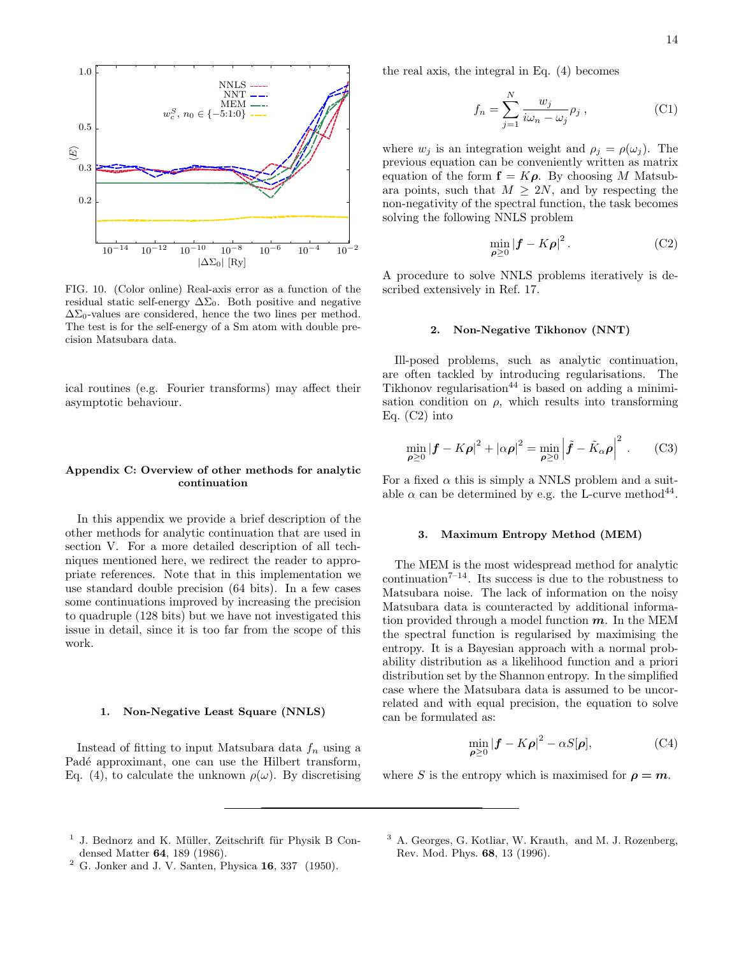

FIG. 10. (Color online) Real-axis error as a function of the residual static self-energy  $\Delta\Sigma_0$ . Both positive and negative  $\Delta\Sigma_0$ -values are considered, hence the two lines per method. The test is for the self-energy of a Sm atom with double precision Matsubara data.

ical routines (e.g. Fourier transforms) may affect their asymptotic behaviour.

### Appendix C: Overview of other methods for analytic continuation

In this appendix we provide a brief description of the other methods for analytic continuation that are used in section V. For a more detailed description of all techniques mentioned here, we redirect the reader to appropriate references. Note that in this implementation we use standard double precision (64 bits). In a few cases some continuations improved by increasing the precision to quadruple (128 bits) but we have not investigated this issue in detail, since it is too far from the scope of this work.

### 1. Non-Negative Least Square (NNLS)

Instead of fitting to input Matsubara data  $f_n$  using a Padé approximant, one can use the Hilbert transform, Eq. (4), to calculate the unknown  $\rho(\omega)$ . By discretising the real axis, the integral in Eq. (4) becomes

$$
f_n = \sum_{j=1}^{N} \frac{w_j}{i\omega_n - \omega_j} \rho_j , \qquad (C1)
$$

where  $w_i$  is an integration weight and  $\rho_i = \rho(\omega_i)$ . The previous equation can be conveniently written as matrix equation of the form  $f = K\rho$ . By choosing M Matsubara points, such that  $M \geq 2N$ , and by respecting the non-negativity of the spectral function, the task becomes solving the following NNLS problem

$$
\min_{\boldsymbol{\rho} \ge 0} |\boldsymbol{f} - K\boldsymbol{\rho}|^2. \tag{C2}
$$

A procedure to solve NNLS problems iteratively is described extensively in Ref. 17.

#### 2. Non-Negative Tikhonov (NNT)

Ill-posed problems, such as analytic continuation, are often tackled by introducing regularisations. The Tikhonov regularisation<sup>44</sup> is based on adding a minimisation condition on  $\rho$ , which results into transforming Eq. (C2) into

$$
\min_{\boldsymbol{\rho} \ge 0} |\boldsymbol{f} - K\boldsymbol{\rho}|^2 + |\alpha \boldsymbol{\rho}|^2 = \min_{\boldsymbol{\rho} \ge 0} \left| \tilde{\boldsymbol{f}} - \tilde{K}_{\alpha} \boldsymbol{\rho} \right|^2. \tag{C3}
$$

For a fixed  $\alpha$  this is simply a NNLS problem and a suitable  $\alpha$  can be determined by e.g. the L-curve method<sup>44</sup>.

# 3. Maximum Entropy Method (MEM)

The MEM is the most widespread method for analytic continuation<sup> $7-14$ </sup>. Its success is due to the robustness to Matsubara noise. The lack of information on the noisy Matsubara data is counteracted by additional information provided through a model function  $m$ . In the MEM the spectral function is regularised by maximising the entropy. It is a Bayesian approach with a normal probability distribution as a likelihood function and a priori distribution set by the Shannon entropy. In the simplified case where the Matsubara data is assumed to be uncorrelated and with equal precision, the equation to solve can be formulated as:

$$
\min_{\boldsymbol{\rho} \ge 0} |\boldsymbol{f} - K\boldsymbol{\rho}|^2 - \alpha S[\boldsymbol{\rho}], \tag{C4}
$$

where S is the entropy which is maximised for  $\rho = m$ .

- <sup>1</sup> J. Bednorz and K. Müller, Zeitschrift für Physik B Condensed Matter 64, 189 (1986).
- $2$  G. Jonker and J. V. Santen, Physica 16, 337 (1950).
- <sup>3</sup> A. Georges, G. Kotliar, W. Krauth, and M. J. Rozenberg, Rev. Mod. Phys. 68, 13 (1996).